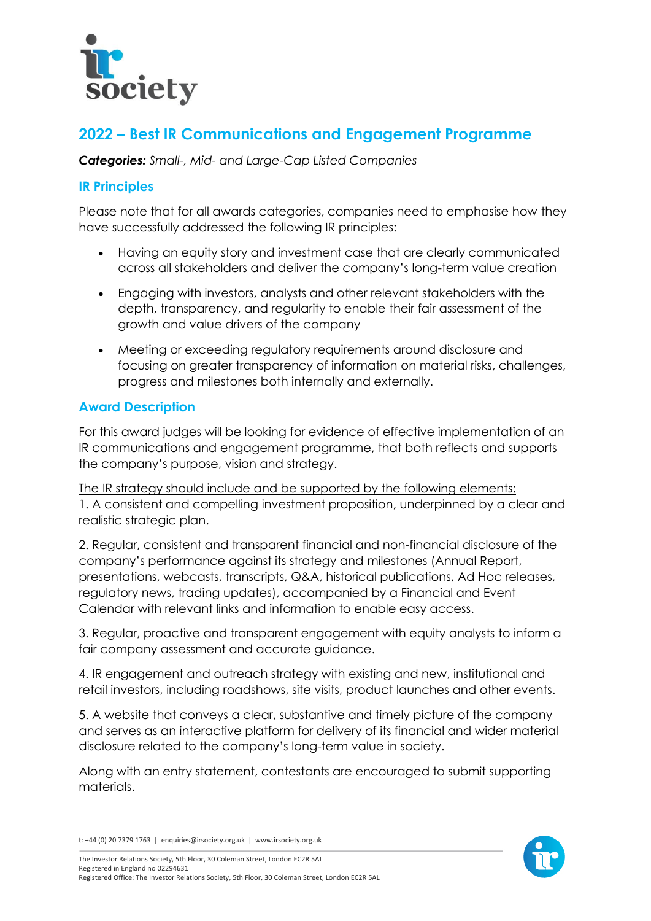

# **2022 – Best IR Communications and Engagement Programme**

*Categories: Small-, Mid- and Large-Cap Listed Companies*

## **IR Principles**

Please note that for all awards categories, companies need to emphasise how they have successfully addressed the following IR principles:

- Having an equity story and investment case that are clearly communicated across all stakeholders and deliver the company's long-term value creation
- Engaging with investors, analysts and other relevant stakeholders with the depth, transparency, and regularity to enable their fair assessment of the growth and value drivers of the company
- Meeting or exceeding regulatory requirements around disclosure and focusing on greater transparency of information on material risks, challenges, progress and milestones both internally and externally.

## **Award Description**

For this award judges will be looking for evidence of effective implementation of an IR communications and engagement programme, that both reflects and supports the company's purpose, vision and strategy.

The IR strategy should include and be supported by the following elements: 1. A consistent and compelling investment proposition, underpinned by a clear and realistic strategic plan.

2. Regular, consistent and transparent financial and non-financial disclosure of the company's performance against its strategy and milestones (Annual Report, presentations, webcasts, transcripts, Q&A, historical publications, Ad Hoc releases, regulatory news, trading updates), accompanied by a Financial and Event Calendar with relevant links and information to enable easy access.

3. Regular, proactive and transparent engagement with equity analysts to inform a fair company assessment and accurate guidance.

4. IR engagement and outreach strategy with existing and new, institutional and retail investors, including roadshows, site visits, product launches and other events.

5. A website that conveys a clear, substantive and timely picture of the company and serves as an interactive platform for delivery of its financial and wider material disclosure related to the company's long-term value in society.

Along with an entry statement, contestants are encouraged to submit supporting materials.



t: +44 (0) 20 7379 1763 | enquiries@irsociety.org.uk | www.irsociety.org.uk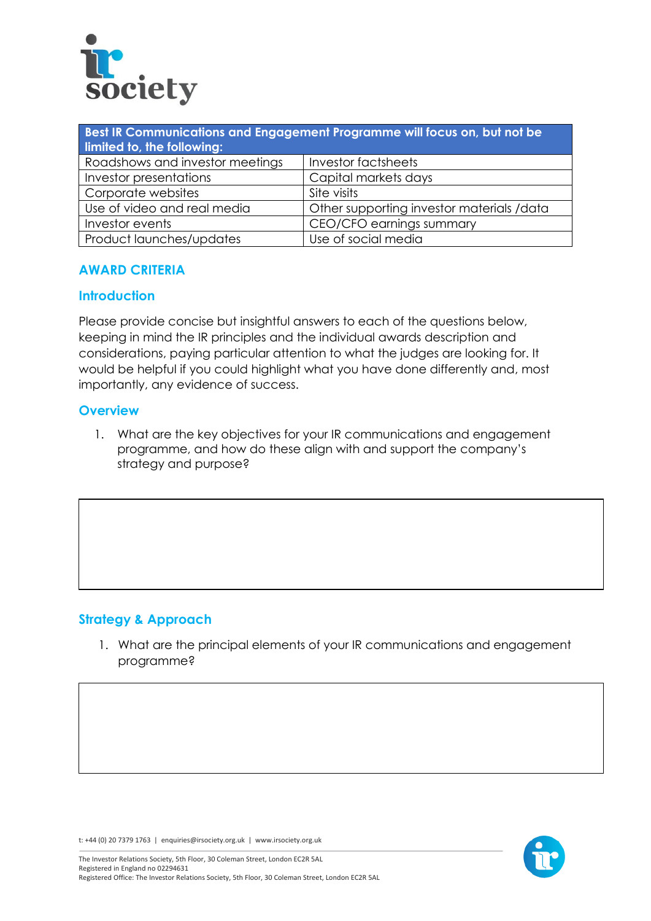

| Best IR Communications and Engagement Programme will focus on, but not be<br>limited to, the following: |                                           |
|---------------------------------------------------------------------------------------------------------|-------------------------------------------|
| Roadshows and investor meetings                                                                         | Investor factsheets                       |
| Investor presentations                                                                                  | Capital markets days                      |
| Corporate websites                                                                                      | Site visits                               |
| Use of video and real media                                                                             | Other supporting investor materials /data |
| Investor events                                                                                         | CEO/CFO earnings summary                  |
| Product launches/updates                                                                                | Use of social media                       |

#### **AWARD CRITERIA**

#### **Introduction**

Please provide concise but insightful answers to each of the questions below, keeping in mind the IR principles and the individual awards description and considerations, paying particular attention to what the judges are looking for. It would be helpful if you could highlight what you have done differently and, most importantly, any evidence of success.

#### **Overview**

1. What are the key objectives for your IR communications and engagement programme, and how do these align with and support the company's strategy and purpose?

## **Strategy & Approach**

1. What are the principal elements of your IR communications and engagement programme?

t: +44 (0) 20 7379 1763 | enquiries@irsociety.org.uk | www.irsociety.org.uk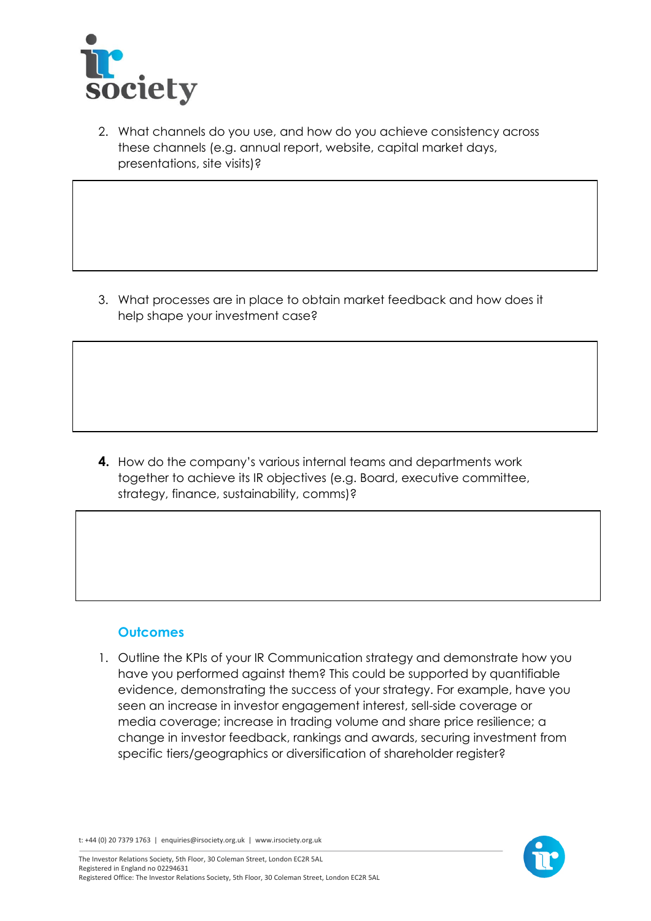

2. What channels do you use, and how do you achieve consistency across these channels (e.g. annual report, website, capital market days, presentations, site visits)?

3. What processes are in place to obtain market feedback and how does it help shape your investment case?

**4.** How do the company's various internal teams and departments work together to achieve its IR objectives (e.g. Board, executive committee, strategy, finance, sustainability, comms)?

## **Outcomes**

1. Outline the KPIs of your IR Communication strategy and demonstrate how you have you performed against them? This could be supported by quantifiable evidence, demonstrating the success of your strategy. For example, have you seen an increase in investor engagement interest, sell-side coverage or media coverage; increase in trading volume and share price resilience; a change in investor feedback, rankings and awards, securing investment from specific tiers/geographics or diversification of shareholder register?

t: +44 (0) 20 7379 1763 | enquiries@irsociety.org.uk | www.irsociety.org.uk